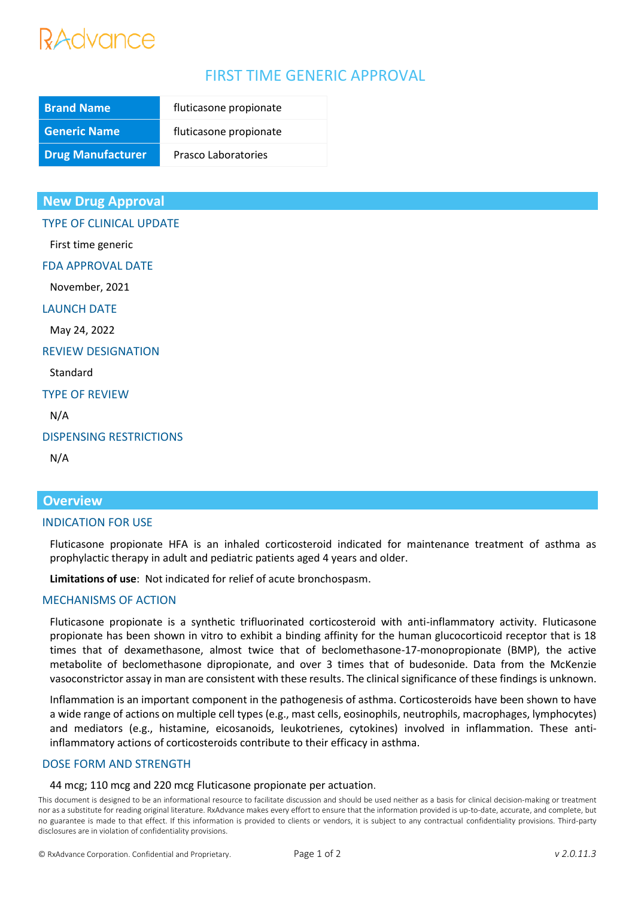## Advance

### FIRST TIME GENERIC APPROVAL

| <b>Brand Name</b>        | fluticasone propionate     |
|--------------------------|----------------------------|
| <b>Generic Name</b>      | fluticasone propionate     |
| <b>Drug Manufacturer</b> | <b>Prasco Laboratories</b> |

#### **New Drug Approval**

TYPE OF CLINICAL UPDATE

First time generic

FDA APPROVAL DATE

November, 2021

LAUNCH DATE

May 24, 2022

REVIEW DESIGNATION

Standard

TYPE OF REVIEW

N/A

DISPENSING RESTRICTIONS

N/A

#### **Overview**

#### INDICATION FOR USE

Fluticasone propionate HFA is an inhaled corticosteroid indicated for maintenance treatment of asthma as prophylactic therapy in adult and pediatric patients aged 4 years and older.

**Limitations of use**: Not indicated for relief of acute bronchospasm.

#### MECHANISMS OF ACTION

Fluticasone propionate is a synthetic trifluorinated corticosteroid with anti-inflammatory activity. Fluticasone propionate has been shown in vitro to exhibit a binding affinity for the human glucocorticoid receptor that is 18 times that of dexamethasone, almost twice that of beclomethasone-17-monopropionate (BMP), the active metabolite of beclomethasone dipropionate, and over 3 times that of budesonide. Data from the McKenzie vasoconstrictor assay in man are consistent with these results. The clinical significance of these findings is unknown.

Inflammation is an important component in the pathogenesis of asthma. Corticosteroids have been shown to have a wide range of actions on multiple cell types (e.g., mast cells, eosinophils, neutrophils, macrophages, lymphocytes) and mediators (e.g., histamine, eicosanoids, leukotrienes, cytokines) involved in inflammation. These antiinflammatory actions of corticosteroids contribute to their efficacy in asthma.

#### DOSE FORM AND STRENGTH

#### 44 mcg; 110 mcg and 220 mcg Fluticasone propionate per actuation.

This document is designed to be an informational resource to facilitate discussion and should be used neither as a basis for clinical decision-making or treatment nor as a substitute for reading original literature. RxAdvance makes every effort to ensure that the information provided is up-to-date, accurate, and complete, but no guarantee is made to that effect. If this information is provided to clients or vendors, it is subject to any contractual confidentiality provisions. Third-party disclosures are in violation of confidentiality provisions.